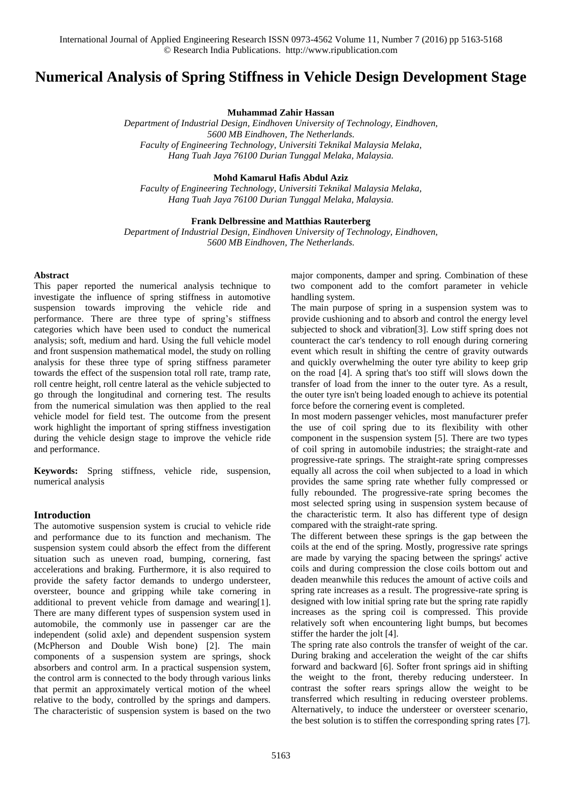# **Numerical Analysis of Spring Stiffness in Vehicle Design Development Stage**

**Muhammad Zahir Hassan**

*Department of Industrial Design, Eindhoven University of Technology, Eindhoven, 5600 MB Eindhoven, The Netherlands. Faculty of Engineering Technology, Universiti Teknikal Malaysia Melaka, Hang Tuah Jaya 76100 Durian Tunggal Melaka, Malaysia.*

## **Mohd Kamarul Hafis Abdul Aziz**

*Faculty of Engineering Technology, Universiti Teknikal Malaysia Melaka, Hang Tuah Jaya 76100 Durian Tunggal Melaka, Malaysia.*

# **Frank Delbressine and Matthias Rauterberg**

*Department of Industrial Design, Eindhoven University of Technology, Eindhoven, 5600 MB Eindhoven, The Netherlands.*

#### **Abstract**

This paper reported the numerical analysis technique to investigate the influence of spring stiffness in automotive suspension towards improving the vehicle ride and performance. There are three type of spring's stiffness categories which have been used to conduct the numerical analysis; soft, medium and hard. Using the full vehicle model and front suspension mathematical model, the study on rolling analysis for these three type of spring stiffness parameter towards the effect of the suspension total roll rate, tramp rate, roll centre height, roll centre lateral as the vehicle subjected to go through the longitudinal and cornering test. The results from the numerical simulation was then applied to the real vehicle model for field test. The outcome from the present work highlight the important of spring stiffness investigation during the vehicle design stage to improve the vehicle ride and performance.

**Keywords:** Spring stiffness, vehicle ride, suspension, numerical analysis

#### **Introduction**

The automotive suspension system is crucial to vehicle ride and performance due to its function and mechanism. The suspension system could absorb the effect from the different situation such as uneven road, bumping, cornering, fast accelerations and braking. Furthermore, it is also required to provide the safety factor demands to undergo understeer, oversteer, bounce and gripping while take cornering in additional to prevent vehicle from damage and wearing[1]. There are many different types of suspension system used in automobile, the commonly use in passenger car are the independent (solid axle) and dependent suspension system (McPherson and Double Wish bone) [2]. The main components of a suspension system are springs, shock absorbers and control arm. In a practical suspension system, the control arm is connected to the body through various links that permit an approximately vertical motion of the wheel relative to the body, controlled by the springs and dampers. The characteristic of suspension system is based on the two

major components, damper and spring. Combination of these two component add to the comfort parameter in vehicle handling system.

The main purpose of spring in a suspension system was to provide cushioning and to absorb and control the energy level subjected to shock and vibration[3]. Low stiff spring does not counteract the car's tendency to roll enough during cornering event which result in shifting the centre of gravity outwards and quickly overwhelming the outer tyre ability to keep grip on the road [4]. A spring that's too stiff will slows down the transfer of load from the inner to the outer tyre. As a result, the outer tyre isn't being loaded enough to achieve its potential force before the cornering event is completed.

In most modern passenger vehicles, most manufacturer prefer the use of coil spring due to its flexibility with other component in the suspension system [5]. There are two types of coil spring in automobile industries; the straight-rate and progressive-rate springs. The straight-rate spring compresses equally all across the coil when subjected to a load in which provides the same spring rate whether fully compressed or fully rebounded. The progressive-rate spring becomes the most selected spring using in suspension system because of the characteristic term. It also has different type of design compared with the straight-rate spring.

The different between these springs is the gap between the coils at the end of the spring. Mostly, progressive rate springs are made by varying the spacing between the springs' active coils and during compression the close coils bottom out and deaden meanwhile this reduces the amount of active coils and spring rate increases as a result. The progressive-rate spring is designed with low initial spring rate but the spring rate rapidly increases as the spring coil is compressed. This provide relatively soft when encountering light bumps, but becomes stiffer the harder the jolt [4].

The spring rate also controls the transfer of weight of the car. During [braking](http://www.formula1-dictionary.net/braking_tech.html) and acceleration the weight of the car shifts forward and backward [6]. Softer front springs aid in shifting the weight to the front, thereby reducing [understeer.](http://www.formula1-dictionary.net/understeer.html) In contrast the softer rears springs allow the weight to be transferred which resulting in reducing oversteer problems. Alternatively, to induce the understeer or oversteer scenario, the best solution is to stiffen the corresponding spring rates [7].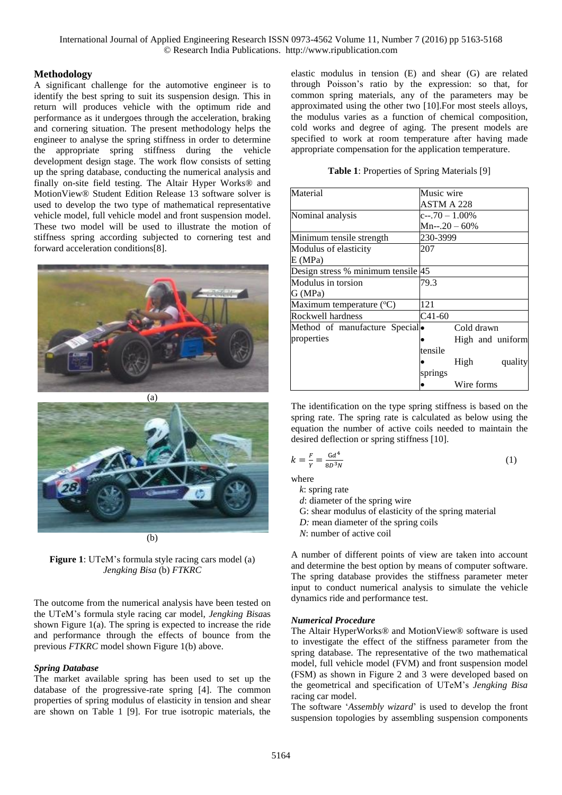International Journal of Applied Engineering Research ISSN 0973-4562 Volume 11, Number 7 (2016) pp 5163-5168 © Research India Publications. http://www.ripublication.com

### **Methodology**

A significant challenge for the automotive engineer is to identify the best spring to suit its suspension design. This in return will produces vehicle with the optimum ride and performance as it undergoes through the acceleration, braking and cornering situation. The present methodology helps the engineer to analyse the spring stiffness in order to determine the appropriate spring stiffness during the vehicle development design stage. The work flow consists of setting up the spring database, conducting the numerical analysis and finally on-site field testing. The Altair Hyper Works® and MotionView® Student Edition Release 13 software solver is used to develop the two type of mathematical representative vehicle model, full vehicle model and front suspension model. These two model will be used to illustrate the motion of stiffness spring according subjected to cornering test and forward acceleration conditions[8].



(a)



**Figure 1**: UTeM's formula style racing cars model (a) *Jengking Bisa* (b) *FTKRC*

The outcome from the numerical analysis have been tested on the UTeM's formula style racing car model, *Jengking Bisa*as shown Figure 1(a). The spring is expected to increase the ride and performance through the effects of bounce from the previous *FTKRC* model shown Figure 1(b) above.

## *Spring Database*

The market available spring has been used to set up the database of the progressive-rate spring [4]. The common properties of spring modulus of elasticity in tension and shear are shown on Table 1 [9]. For true isotropic materials, the elastic modulus in tension (E) and shear (G) are related through Poisson's ratio by the expression: so that, for common spring materials, any of the parameters may be approximated using the other two [10].For most steels alloys, the modulus varies as a function of chemical composition, cold works and degree of aging. The present models are specified to work at room temperature after having made appropriate compensation for the application temperature.

|  | Table 1: Properties of Spring Materials [9] |  |  |  |
|--|---------------------------------------------|--|--|--|
|--|---------------------------------------------|--|--|--|

| Material                           | Music wire       |            |  |                  |
|------------------------------------|------------------|------------|--|------------------|
|                                    | ASTM A 228       |            |  |                  |
| Nominal analysis                   | $c-.70 - 1.00\%$ |            |  |                  |
|                                    | $Mn-.20-60%$     |            |  |                  |
|                                    |                  |            |  |                  |
| Minimum tensile strength           | 230-3999         |            |  |                  |
| Modulus of elasticity              | 207              |            |  |                  |
| E(MPa)                             |                  |            |  |                  |
| Design stress % minimum tensile 45 |                  |            |  |                  |
| Modulus in torsion                 | 79.3             |            |  |                  |
| G (MPa)                            |                  |            |  |                  |
| Maximum temperature (°C)           | 121              |            |  |                  |
| Rockwell hardness                  | $C41-60$         |            |  |                  |
| Method of manufacture Special.     |                  | Cold drawn |  |                  |
| properties                         |                  |            |  | High and uniform |
|                                    | tensile          |            |  |                  |
|                                    |                  | High       |  | quality          |
|                                    | springs          |            |  |                  |
|                                    |                  | Wire forms |  |                  |

The identification on the type spring stiffness is based on the spring rate. The spring rate is calculated as below using the equation the number of active coils needed to maintain the desired deflection or spring stiffness [10].

$$
k = \frac{F}{Y} = \frac{Gd^4}{8D^3N} \tag{1}
$$

where

*k*: spring rate

*d*: diameter of the spring wire

- G: shear modulus of elasticity of the spring material
- *D:* mean diameter of the spring coils
- *N*: number of active coil

A number of different points of view are taken into account and determine the best option by means of computer software. The spring database provides the stiffness parameter meter input to conduct numerical analysis to simulate the vehicle dynamics ride and performance test.

#### *Numerical Procedure*

The Altair HyperWorks® and MotionView® software is used to investigate the effect of the stiffness parameter from the spring database. The representative of the two mathematical model, full vehicle model (FVM) and front suspension model (FSM) as shown in Figure 2 and 3 were developed based on the geometrical and specification of UTeM's *Jengking Bisa* racing car model.

The software '*Assembly wizard*' is used to develop the front suspension topologies by assembling suspension components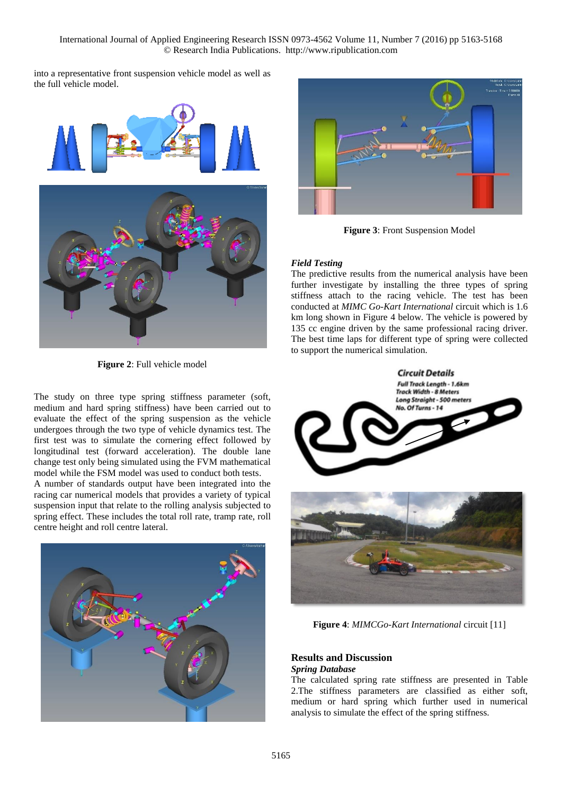International Journal of Applied Engineering Research ISSN 0973-4562 Volume 11, Number 7 (2016) pp 5163-5168 © Research India Publications. http://www.ripublication.com

into a representative front suspension vehicle model as well as the full vehicle model.



**Figure 2**: Full vehicle model

The study on three type spring stiffness parameter (soft, medium and hard spring stiffness) have been carried out to evaluate the effect of the spring suspension as the vehicle undergoes through the two type of vehicle dynamics test. The first test was to simulate the cornering effect followed by longitudinal test (forward acceleration). The double lane change test only being simulated using the FVM mathematical model while the FSM model was used to conduct both tests.

A number of standards output have been integrated into the racing car numerical models that provides a variety of typical suspension input that relate to the rolling analysis subjected to spring effect. These includes the total roll rate, tramp rate, roll centre height and roll centre lateral.





**Figure 3**: Front Suspension Model

## *Field Testing*

The predictive results from the numerical analysis have been further investigate by installing the three types of spring stiffness attach to the racing vehicle. The test has been conducted at *MIMC Go-Kart International* circuit which is 1.6 km long shown in Figure 4 below. The vehicle is powered by 135 cc engine driven by the same professional racing driver. The best time laps for different type of spring were collected to support the numerical simulation.





**Figure 4**: *MIMCGo-Kart International* circuit [11]

# **Results and Discussion**

# *Spring Database*

The calculated spring rate stiffness are presented in Table 2.The stiffness parameters are classified as either soft, medium or hard spring which further used in numerical analysis to simulate the effect of the spring stiffness.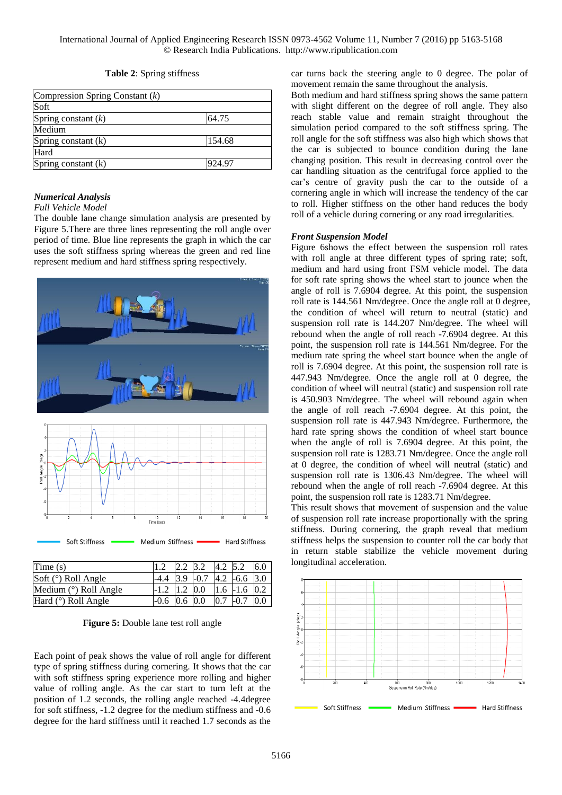|  |  |  | Table 2: Spring stiffness |
|--|--|--|---------------------------|
|--|--|--|---------------------------|

| Compression Spring Constant $(k)$ |        |
|-----------------------------------|--------|
| Soft                              |        |
| Spring constant $(k)$             | 64.75  |
| Medium                            |        |
| Spring constant (k)               | 154.68 |
| Hard                              |        |
| Spring constant (k)               | 924.97 |

#### *Numerical Analysis*

#### *Full Vehicle Model*

The double lane change simulation analysis are presented by Figure 5.There are three lines representing the roll angle over period of time. Blue line represents the graph in which the car uses the soft stiffness spring whereas the green and red line represent medium and hard stiffness spring respectively.



| Time $(s)$            | $1.2$ 2.2 3.2 4.2 5.2            |  |                | 6.0 |
|-----------------------|----------------------------------|--|----------------|-----|
| Soft $(°)$ Roll Angle | $-4.4$ 3.9 $-0.7$ 4.2 $-6.6$ 3.0 |  |                |     |
| Medium (°) Roll Angle | $-1.2$ 1.2 0.0 1.6 -1.6 0.2      |  |                |     |
| Hard $(°)$ Roll Angle | $-0.6$ 0.6 0.0                   |  | $0.7$ -0.7 0.0 |     |

**Figure 5:** Double lane test roll angle

Each point of peak shows the value of roll angle for different type of spring stiffness during cornering. It shows that the car with soft stiffness spring experience more rolling and higher value of rolling angle. As the car start to turn left at the position of 1.2 seconds, the rolling angle reached -4.4degree for soft stiffness, -1.2 degree for the medium stiffness and -0.6 degree for the hard stiffness until it reached 1.7 seconds as the car turns back the steering angle to 0 degree. The polar of movement remain the same throughout the analysis.

Both medium and hard stiffness spring shows the same pattern with slight different on the degree of roll angle. They also reach stable value and remain straight throughout the simulation period compared to the soft stiffness spring. The roll angle for the soft stiffness was also high which shows that the car is subjected to bounce condition during the lane changing position. This result in decreasing control over the car handling situation as the centrifugal force applied to the car's centre of gravity push the car to the outside of a cornering angle in which will increase the tendency of the car to roll. Higher stiffness on the other hand reduces the body roll of a vehicle during cornering or any road irregularities.

#### *Front Suspension Model*

Figure 6shows the effect between the suspension roll rates with roll angle at three different types of spring rate; soft, medium and hard using front FSM vehicle model. The data for soft rate spring shows the wheel start to jounce when the angle of roll is 7.6904 degree. At this point, the suspension roll rate is 144.561 Nm/degree. Once the angle roll at 0 degree, the condition of wheel will return to neutral (static) and suspension roll rate is 144.207 Nm/degree. The wheel will rebound when the angle of roll reach -7.6904 degree. At this point, the suspension roll rate is 144.561 Nm/degree. For the medium rate spring the wheel start bounce when the angle of roll is 7.6904 degree. At this point, the suspension roll rate is 447.943 Nm/degree. Once the angle roll at 0 degree, the condition of wheel will neutral (static) and suspension roll rate is 450.903 Nm/degree. The wheel will rebound again when the angle of roll reach -7.6904 degree. At this point, the suspension roll rate is 447.943 Nm/degree. Furthermore, the hard rate spring shows the condition of wheel start bounce when the angle of roll is 7.6904 degree. At this point, the suspension roll rate is 1283.71 Nm/degree. Once the angle roll at 0 degree, the condition of wheel will neutral (static) and suspension roll rate is 1306.43 Nm/degree. The wheel will rebound when the angle of roll reach -7.6904 degree. At this point, the suspension roll rate is 1283.71 Nm/degree.

This result shows that movement of suspension and the value of suspension roll rate increase proportionally with the spring stiffness. During cornering, the graph reveal that medium stiffness helps the suspension to counter roll the car body that in return stable stabilize the vehicle movement during longitudinal acceleration.

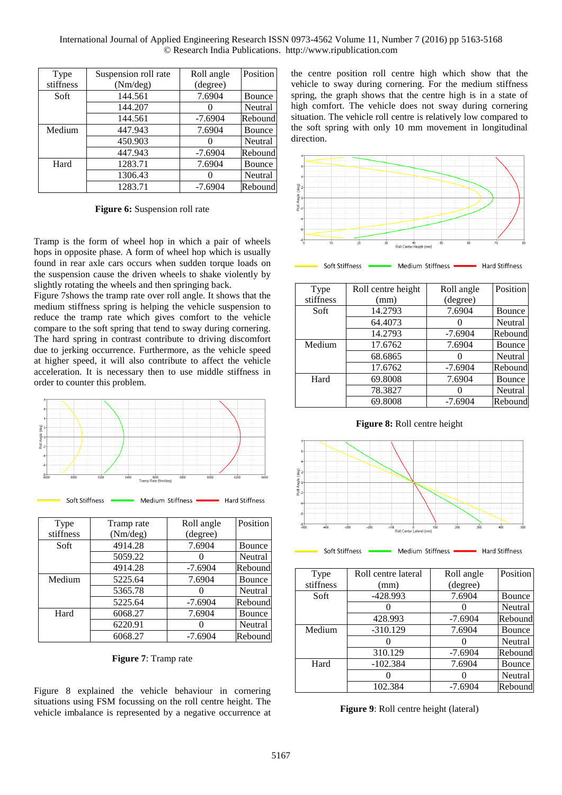International Journal of Applied Engineering Research ISSN 0973-4562 Volume 11, Number 7 (2016) pp 5163-5168 © Research India Publications. http://www.ripublication.com

| Type      | Suspension roll rate | Roll angle | Position |
|-----------|----------------------|------------|----------|
| stiffness | (Nm/deg)             | (degree)   |          |
| Soft      | 144.561              | 7.6904     | Bounce   |
|           | 144.207              |            | Neutral  |
|           | 144.561              | $-7.6904$  | Rebound  |
| Medium    | 447.943              | 7.6904     | Bounce   |
|           | 450.903              |            | Neutral  |
|           | 447.943              | $-7.6904$  | Rebound  |
| Hard      | 1283.71              | 7.6904     | Bounce   |
|           | 1306.43              |            | Neutral  |
|           | 1283.71              | $-7.6904$  | Rebound  |

**Figure 6:** Suspension roll rate

Tramp is the form of wheel hop in which a pair of wheels hops in opposite phase. A form of wheel hop which is usually found in rear axle cars occurs when sudden torque loads on the suspension cause the driven wheels to shake violently by slightly rotating the wheels and then springing back.

Figure 7shows the tramp rate over roll angle. It shows that the medium stiffness spring is helping the vehicle suspension to reduce the tramp rate which gives comfort to the vehicle compare to the soft spring that tend to sway during cornering. The hard spring in contrast contribute to driving discomfort due to jerking occurrence. Furthermore, as the vehicle speed at higher speed, it will also contribute to affect the vehicle acceleration. It is necessary then to use middle stiffness in order to counter this problem.





| Type      | Tramp rate | Roll angle | Position |
|-----------|------------|------------|----------|
| stiffness | (Nm/deg)   | (degree)   |          |
| Soft      | 4914.28    | 7.6904     | Bounce   |
|           | 5059.22    |            | Neutral  |
|           | 4914.28    | $-7.6904$  | Rebound  |
| Medium    | 5225.64    | 7.6904     | Bounce   |
|           | 5365.78    |            | Neutral  |
|           | 5225.64    | $-7.6904$  | Rebound  |
| Hard      | 6068.27    | 7.6904     | Bounce   |
|           | 6220.91    |            | Neutral  |
|           | 6068.27    | $-7.6904$  | Rebound  |

**Figure 7**: Tramp rate

Figure 8 explained the vehicle behaviour in cornering situations using FSM focussing on the roll centre height. The vehicle imbalance is represented by a negative occurrence at

the centre position roll centre high which show that the vehicle to sway during cornering. For the medium stiffness spring, the graph shows that the centre high is in a state of high comfort. The vehicle does not sway during cornering situation. The vehicle roll centre is relatively low compared to the soft spring with only 10 mm movement in longitudinal direction.



Soft Stiffness Medium Stiffness · **Hard Stiffness** 

| Type      | Roll centre height | Roll angle | Position |
|-----------|--------------------|------------|----------|
| stiffness | (mm)               | (degree)   |          |
| Soft      | 14.2793            | 7.6904     | Bounce   |
|           | 64.4073            |            | Neutral  |
|           | 14.2793            | $-7.6904$  | Rebound  |
| Medium    | 17.6762            | 7.6904     | Bounce   |
|           | 68.6865            |            | Neutral  |
|           | 17.6762            | $-7.6904$  | Rebound  |
| Hard      | 69.8008            | 7.6904     | Bounce   |
|           | 78.3827            |            | Neutral  |
|           | 69.8008            | $-7.6904$  | Rebound  |





Soft Stiffness Medium Stiffness · Hard Stiffness

| Type      | Roll centre lateral | Roll angle | Position |
|-----------|---------------------|------------|----------|
| stiffness | (mm)                | (degree)   |          |
| Soft      | $-428.993$          | 7.6904     | Bounce   |
|           |                     |            | Neutral  |
|           | 428.993             | $-7.6904$  | Rebound  |
| Medium    | $-310.129$          | 7.6904     | Bounce   |
|           |                     |            | Neutral  |
|           | 310.129             | $-7.6904$  | Rebound  |
| Hard      | $-102.384$          | 7.6904     | Bounce   |
|           |                     |            | Neutral  |
|           | 102.384             | $-7.6904$  | Rebound  |

**Figure 9**: Roll centre height (lateral)